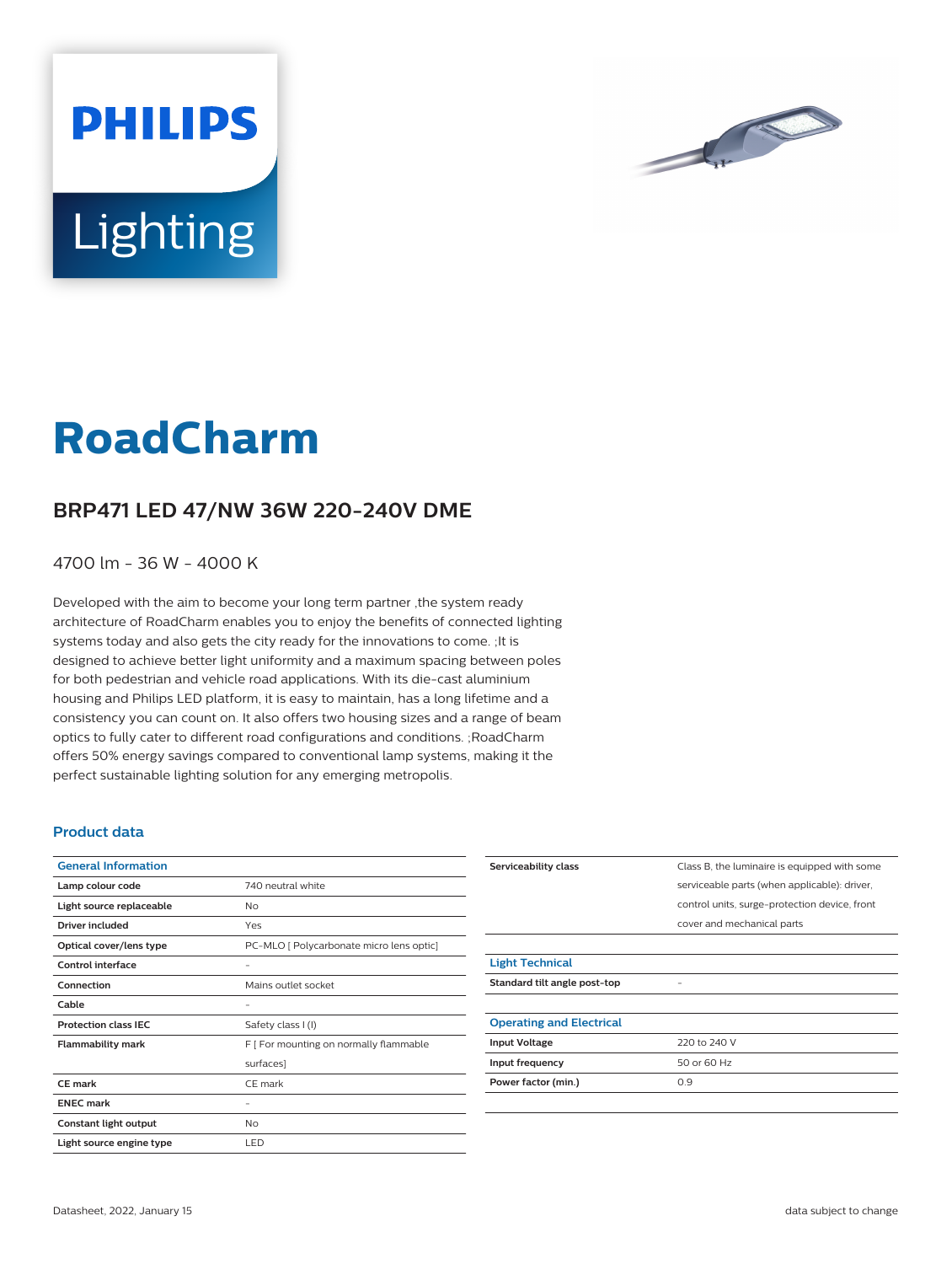

# **Lighting**

**PHILIPS** 

# **RoadCharm**

## **BRP471 LED 47/NW 36W 220-240V DME**

4700 lm - 36 W - 4000 K

Developed with the aim to become your long term partner ,the system ready architecture of RoadCharm enables you to enjoy the benefits of connected lighting systems today and also gets the city ready for the innovations to come. ;It is designed to achieve better light uniformity and a maximum spacing between poles for both pedestrian and vehicle road applications. With its die-cast aluminium housing and Philips LED platform, it is easy to maintain, has a long lifetime and a consistency you can count on. It also offers two housing sizes and a range of beam optics to fully cater to different road configurations and conditions. ;RoadCharm offers 50% energy savings compared to conventional lamp systems, making it the perfect sustainable lighting solution for any emerging metropolis.

#### **Product data**

| <b>General Information</b>  |                                          |  |
|-----------------------------|------------------------------------------|--|
| Lamp colour code            | 740 neutral white                        |  |
| Light source replaceable    | No                                       |  |
| <b>Driver included</b>      | Yes                                      |  |
| Optical cover/lens type     | PC-MLO [ Polycarbonate micro lens optic] |  |
| Control interface           |                                          |  |
| Connection                  | Mains outlet socket                      |  |
| Cable                       |                                          |  |
| <b>Protection class IEC</b> | Safety class I (I)                       |  |
| <b>Flammability mark</b>    | F [ For mounting on normally flammable   |  |
|                             | surfaces]                                |  |
| <b>CE</b> mark              | CE mark                                  |  |
| <b>ENEC mark</b>            |                                          |  |
| Constant light output       | <b>No</b>                                |  |
| Light source engine type    | LED                                      |  |

| Serviceability class            | Class B, the luminaire is equipped with some  |  |
|---------------------------------|-----------------------------------------------|--|
|                                 | serviceable parts (when applicable): driver,  |  |
|                                 | control units, surge-protection device, front |  |
|                                 | cover and mechanical parts                    |  |
|                                 |                                               |  |
| <b>Light Technical</b>          |                                               |  |
| Standard tilt angle post-top    |                                               |  |
|                                 |                                               |  |
| <b>Operating and Electrical</b> |                                               |  |
| <b>Input Voltage</b>            | 220 to 240 V                                  |  |
| Input frequency                 | 50 or 60 Hz                                   |  |
| Power factor (min.)             | 0.9                                           |  |
|                                 |                                               |  |